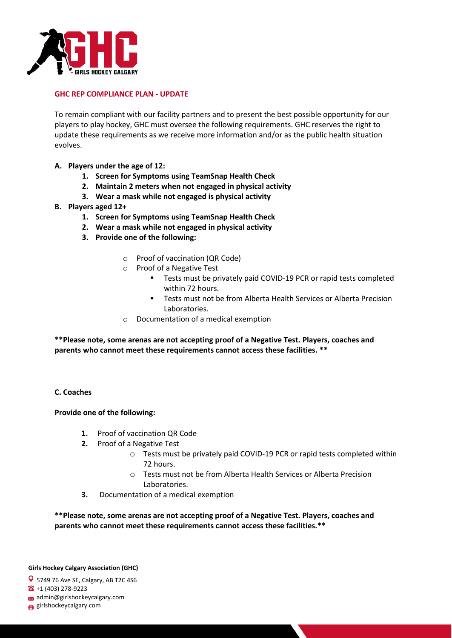

### **GHC REP COMPLIANCE PLAN - UPDATE**

To remain compliant with our facility partners and to present the best possible opportunity for our players to play hockey, GHC must oversee the following requirements. GHC reserves the right to update these requirements as we receive more information and/or as the public health situation evolves.

- **A. Players under the age of 12:** 
	- **1. Screen for Symptoms using TeamSnap Health Check**
	- **2. Maintain 2 meters when not engaged in physical activity**
	- **3. Wear a mask while not engaged is physical activity**
- **B. Players aged 12+** 
	- **1. Screen for Symptoms using TeamSnap Health Check**
	- **2. Wear a mask while not engaged in physical activity**
	- **3. Provide one of the following:** 
		- o Proof of vaccination (QR Code)
		- o Proof of a Negative Test
			- Tests must be privately paid COVID-19 PCR or rapid tests completed within 72 hours.
			- Tests must not be from Alberta Health Services or Alberta Precision Laboratories.
		- o Documentation of a medical exemption

**\*\*Please note, some arenas are not accepting proof of a Negative Test. Players, coaches and parents who cannot meet these requirements cannot access these facilities. \*\***

#### **C. Coaches**

#### **Provide one of the following:**

- **1.** Proof of vaccination QR Code
- **2.** Proof of a Negative Test
	- o Tests must be privately paid COVID-19 PCR or rapid tests completed within 72 hours.
	- o Tests must not be from Alberta Health Services or Alberta Precision Laboratories.
- **3.** Documentation of a medical exemption

**\*\*Please note, some arenas are not accepting proof of a Negative Test. Players, coaches and parents who cannot meet these requirements cannot access these facilities.\*\*** 

#### **Girls Hockey Calgary Association (GHC)**

5749 76 Ave SE, Calgary, AB T2C 4S6

- $\bullet$  +1 (403) 278-9223
- admin@girlshockeycalgary.com
- girlshockeycalgary.com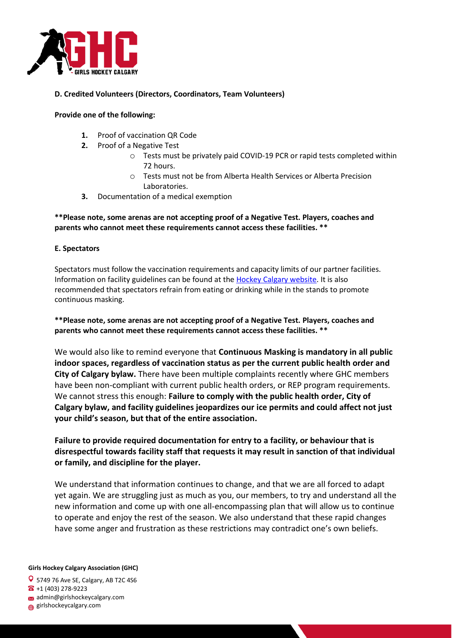

## **D. Credited Volunteers (Directors, Coordinators, Team Volunteers)**

## **Provide one of the following:**

- **1.** Proof of vaccination QR Code
- **2.** Proof of a Negative Test
	- o Tests must be privately paid COVID-19 PCR or rapid tests completed within 72 hours.
	- o Tests must not be from Alberta Health Services or Alberta Precision Laboratories.
- **3.** Documentation of a medical exemption

# **\*\*Please note, some arenas are not accepting proof of a Negative Test. Players, coaches and parents who cannot meet these requirements cannot access these facilities. \*\***

## **E. Spectators**

Spectators must follow the vaccination requirements and capacity limits of our partner facilities. Information on facility guidelines can be found at th[e Hockey Calgary website.](https://www.hockeycalgary.ca/page/index/id/590/) It is also recommended that spectators refrain from eating or drinking while in the stands to promote continuous masking.

**\*\*Please note, some arenas are not accepting proof of a Negative Test. Players, coaches and parents who cannot meet these requirements cannot access these facilities. \*\*** 

We would also like to remind everyone that **Continuous Masking is mandatory in all public indoor spaces, regardless of vaccination status as per the current public health order and City of Calgary bylaw.** There have been multiple complaints recently where GHC members have been non-compliant with current public health orders, or REP program requirements. We cannot stress this enough: **Failure to comply with the public health order, City of Calgary bylaw, and facility guidelines jeopardizes our ice permits and could affect not just your child's season, but that of the entire association.** 

**Failure to provide required documentation for entry to a facility, or behaviour that is disrespectful towards facility staff that requests it may result in sanction of that individual or family, and discipline for the player.** 

We understand that information continues to change, and that we are all forced to adapt yet again. We are struggling just as much as you, our members, to try and understand all the new information and come up with one all-encompassing plan that will allow us to continue to operate and enjoy the rest of the season. We also understand that these rapid changes have some anger and frustration as these restrictions may contradict one's own beliefs.

**Girls Hockey Calgary Association (GHC)**

**Q** 5749 76 Ave SE, Calgary, AB T2C 4S6  $\bullet$  +1 (403) 278-9223

- admin@girlshockeycalgary.com
- girlshockeycalgary.com